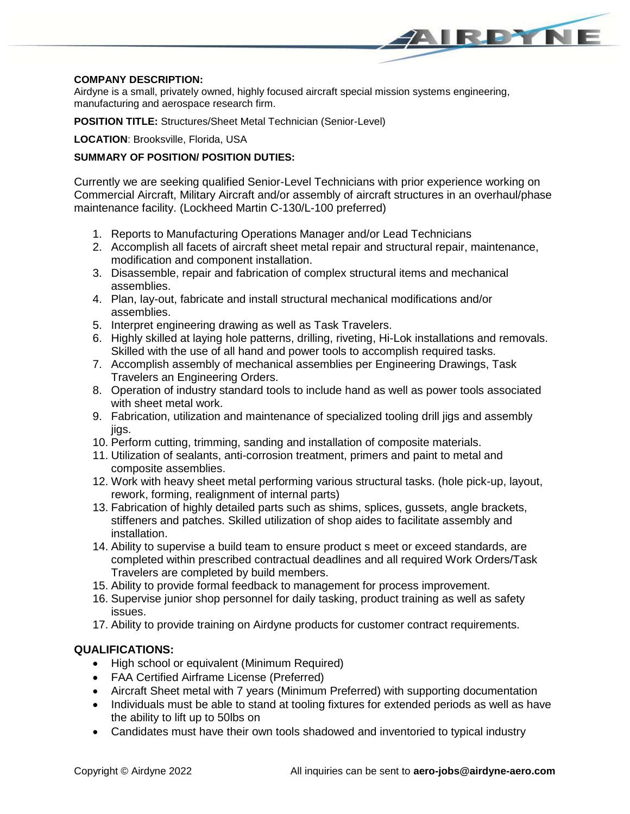# **COMPANY DESCRIPTION:**

Airdyne is a small, privately owned, highly focused aircraft special mission systems engineering, manufacturing and aerospace research firm.

**POSITION TITLE:** Structures/Sheet Metal Technician (Senior-Level)

# **LOCATION**: Brooksville, Florida, USA

# **SUMMARY OF POSITION/ POSITION DUTIES:**

Currently we are seeking qualified Senior-Level Technicians with prior experience working on Commercial Aircraft, Military Aircraft and/or assembly of aircraft structures in an overhaul/phase maintenance facility. (Lockheed Martin C-130/L-100 preferred)

AIRPYNE

- 1. Reports to Manufacturing Operations Manager and/or Lead Technicians
- 2. Accomplish all facets of aircraft sheet metal repair and structural repair, maintenance, modification and component installation.
- 3. Disassemble, repair and fabrication of complex structural items and mechanical assemblies.
- 4. Plan, lay-out, fabricate and install structural mechanical modifications and/or assemblies.
- 5. Interpret engineering drawing as well as Task Travelers.
- 6. Highly skilled at laying hole patterns, drilling, riveting, Hi-Lok installations and removals. Skilled with the use of all hand and power tools to accomplish required tasks.
- 7. Accomplish assembly of mechanical assemblies per Engineering Drawings, Task Travelers an Engineering Orders.
- 8. Operation of industry standard tools to include hand as well as power tools associated with sheet metal work.
- 9. Fabrication, utilization and maintenance of specialized tooling drill jigs and assembly jigs.
- 10. Perform cutting, trimming, sanding and installation of composite materials.
- 11. Utilization of sealants, anti-corrosion treatment, primers and paint to metal and composite assemblies.
- 12. Work with heavy sheet metal performing various structural tasks. (hole pick-up, layout, rework, forming, realignment of internal parts)
- 13. Fabrication of highly detailed parts such as shims, splices, gussets, angle brackets, stiffeners and patches. Skilled utilization of shop aides to facilitate assembly and installation.
- 14. Ability to supervise a build team to ensure product s meet or exceed standards, are completed within prescribed contractual deadlines and all required Work Orders/Task Travelers are completed by build members.
- 15. Ability to provide formal feedback to management for process improvement.
- 16. Supervise junior shop personnel for daily tasking, product training as well as safety issues.
- 17. Ability to provide training on Airdyne products for customer contract requirements.

# **QUALIFICATIONS:**

- High school or equivalent (Minimum Required)
- FAA Certified Airframe License (Preferred)
- Aircraft Sheet metal with 7 years (Minimum Preferred) with supporting documentation
- Individuals must be able to stand at tooling fixtures for extended periods as well as have the ability to lift up to 50lbs on
- Candidates must have their own tools shadowed and inventoried to typical industry